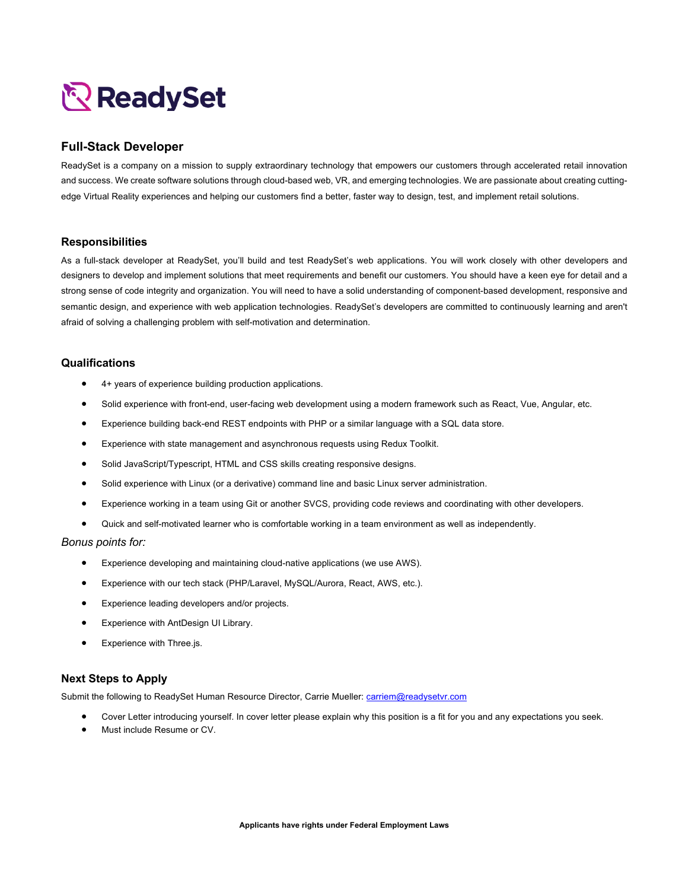# ReadySet

## **Full-Stack Developer**

ReadySet is a company on a mission to supply extraordinary technology that empowers our customers through accelerated retail innovation and success. We create software solutions through cloud-based web, VR, and emerging technologies. We are passionate about creating cuttingedge Virtual Reality experiences and helping our customers find a better, faster way to design, test, and implement retail solutions.

#### **Responsibilities**

As a full-stack developer at ReadySet, you'll build and test ReadySet's web applications. You will work closely with other developers and designers to develop and implement solutions that meet requirements and benefit our customers. You should have a keen eye for detail and a strong sense of code integrity and organization. You will need to have a solid understanding of component-based development, responsive and semantic design, and experience with web application technologies. ReadySet's developers are committed to continuously learning and aren't afraid of solving a challenging problem with self-motivation and determination.

### **Qualifications**

- 4+ years of experience building production applications.
- Solid experience with front-end, user-facing web development using a modern framework such as React, Vue, Angular, etc.
- Experience building back-end REST endpoints with PHP or a similar language with a SQL data store.
- Experience with state management and asynchronous requests using Redux Toolkit.
- Solid JavaScript/Typescript, HTML and CSS skills creating responsive designs.
- Solid experience with Linux (or a derivative) command line and basic Linux server administration.
- Experience working in a team using Git or another SVCS, providing code reviews and coordinating with other developers.
- Quick and self-motivated learner who is comfortable working in a team environment as well as independently.

#### *Bonus points for:*

- Experience developing and maintaining cloud-native applications (we use AWS).
- Experience with our tech stack (PHP/Laravel, MySQL/Aurora, React, AWS, etc.).
- Experience leading developers and/or projects.
- Experience with AntDesign UI Library.
- Experience with Three.js.

#### **Next Steps to Apply**

Submit the following to ReadySet Human Resource Director, Carrie Mueller: carriem@readysetvr.com

- Cover Letter introducing yourself. In cover letter please explain why this position is a fit for you and any expectations you seek.
- Must include Resume or CV.